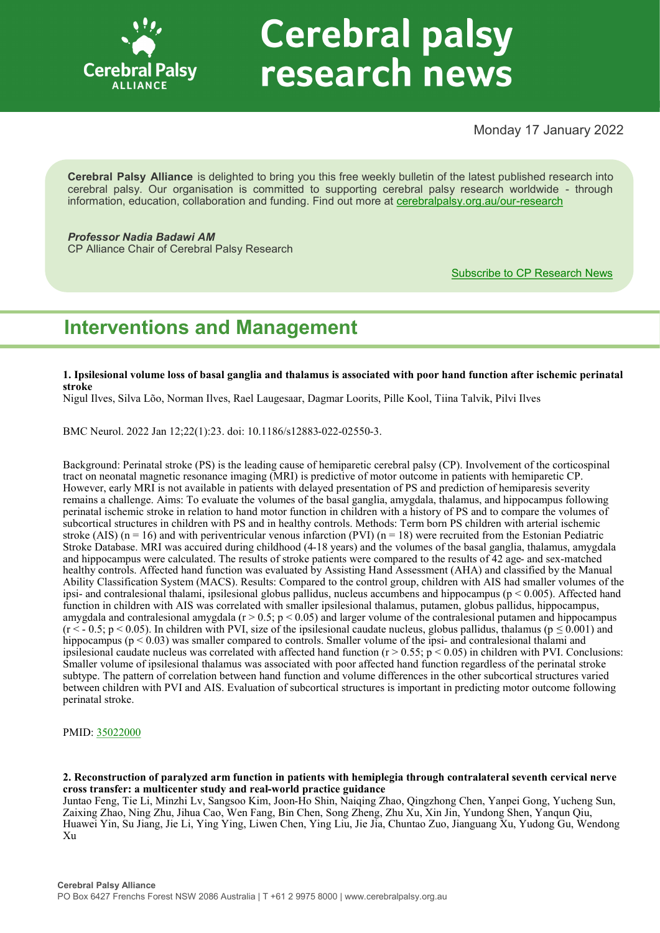

# **Cerebral palsy** research news

# Monday 17 January 2022

**Cerebral Palsy Alliance** is delighted to bring you this free weekly bulletin of the latest published research into cerebral palsy. Our organisation is committed to supporting cerebral palsy research worldwide - through information, education, collaboration and funding. Find out more at [cerebralpalsy.org.au/our](https://cerebralpalsy.org.au/our-research/)-research

*Professor Nadia Badawi AM* CP Alliance Chair of Cerebral Palsy Research

[Subscribe to CP Research News](https://cerebralpalsy.org.au/our-research/get-involved-research/cp-research-newsletters/)

# **Interventions and Management**

**1. Ipsilesional volume loss of basal ganglia and thalamus is associated with poor hand function after ischemic perinatal stroke**

Nigul Ilves, Silva Lõo, Norman Ilves, Rael Laugesaar, Dagmar Loorits, Pille Kool, Tiina Talvik, Pilvi Ilves

BMC Neurol. 2022 Jan 12;22(1):23. doi: 10.1186/s12883-022-02550-3.

Background: Perinatal stroke (PS) is the leading cause of hemiparetic cerebral palsy (CP). Involvement of the corticospinal tract on neonatal magnetic resonance imaging (MRI) is predictive of motor outcome in patients with hemiparetic CP. However, early MRI is not available in patients with delayed presentation of PS and prediction of hemiparesis severity remains a challenge. Aims: To evaluate the volumes of the basal ganglia, amygdala, thalamus, and hippocampus following perinatal ischemic stroke in relation to hand motor function in children with a history of PS and to compare the volumes of subcortical structures in children with PS and in healthy controls. Methods: Term born PS children with arterial ischemic stroke (AIS)  $(n = 16)$  and with periventricular venous infarction (PVI)  $(n = 18)$  were recruited from the Estonian Pediatric Stroke Database. MRI was accuired during childhood (4-18 years) and the volumes of the basal ganglia, thalamus, amygdala and hippocampus were calculated. The results of stroke patients were compared to the results of 42 age- and sex-matched healthy controls. Affected hand function was evaluated by Assisting Hand Assessment (AHA) and classified by the Manual Ability Classification System (MACS). Results: Compared to the control group, children with AIS had smaller volumes of the ipsi- and contralesional thalami, ipsilesional globus pallidus, nucleus accumbens and hippocampus (p < 0.005). Affected hand function in children with AIS was correlated with smaller ipsilesional thalamus, putamen, globus pallidus, hippocampus, amygdala and contralesional amygdala ( $r > 0.5$ ;  $p < 0.05$ ) and larger volume of the contralesional putamen and hippocampus  $(r < 0.5; p < 0.05)$ . In children with PVI, size of the ipsilesional caudate nucleus, globus pallidus, thalamus ( $p \le 0.001$ ) and hippocampus ( $p < 0.03$ ) was smaller compared to controls. Smaller volume of the ipsi- and contralesional thalami and ipsilesional caudate nucleus was correlated with affected hand function ( $r > 0.55$ ;  $p < 0.05$ ) in children with PVI. Conclusions: Smaller volume of ipsilesional thalamus was associated with poor affected hand function regardless of the perinatal stroke subtype. The pattern of correlation between hand function and volume differences in the other subcortical structures varied between children with PVI and AIS. Evaluation of subcortical structures is important in predicting motor outcome following perinatal stroke.

PMID: [35022000](https://pubmed.ncbi.nlm.nih.gov/35022000)

**2. Reconstruction of paralyzed arm function in patients with hemiplegia through contralateral seventh cervical nerve cross transfer: a multicenter study and real-world practice guidance**

Juntao Feng, Tie Li, Minzhi Lv, Sangsoo Kim, Joon-Ho Shin, Naiqing Zhao, Qingzhong Chen, Yanpei Gong, Yucheng Sun, Zaixing Zhao, Ning Zhu, Jihua Cao, Wen Fang, Bin Chen, Song Zheng, Zhu Xu, Xin Jin, Yundong Shen, Yanqun Qiu, Huawei Yin, Su Jiang, Jie Li, Ying Ying, Liwen Chen, Ying Liu, Jie Jia, Chuntao Zuo, Jianguang Xu, Yudong Gu, Wendong Xu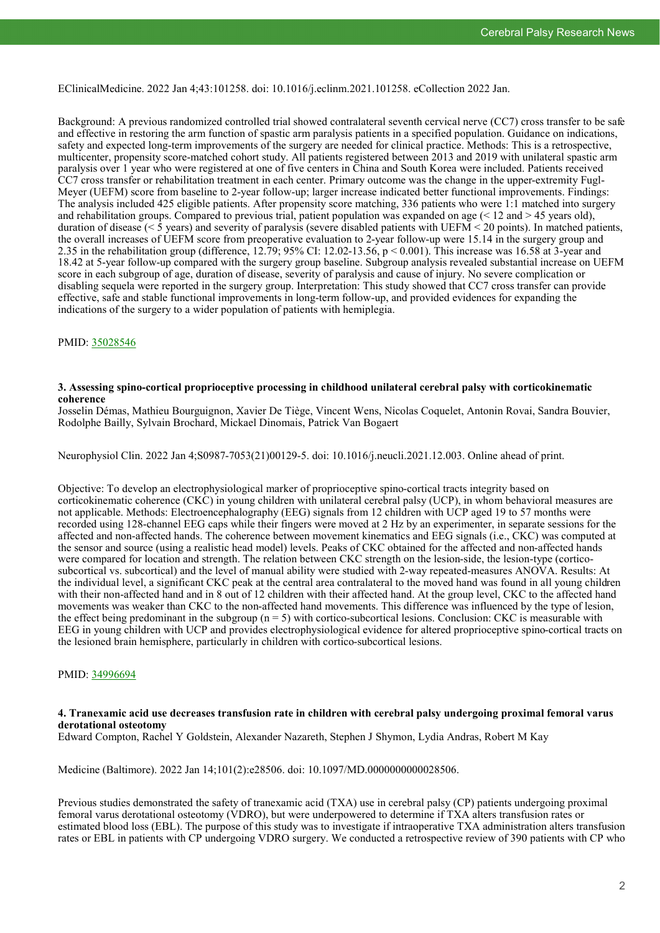EClinicalMedicine. 2022 Jan 4;43:101258. doi: 10.1016/j.eclinm.2021.101258. eCollection 2022 Jan.

Background: A previous randomized controlled trial showed contralateral seventh cervical nerve (CC7) cross transfer to be safe and effective in restoring the arm function of spastic arm paralysis patients in a specified population. Guidance on indications, safety and expected long-term improvements of the surgery are needed for clinical practice. Methods: This is a retrospective, multicenter, propensity score-matched cohort study. All patients registered between 2013 and 2019 with unilateral spastic arm paralysis over 1 year who were registered at one of five centers in China and South Korea were included. Patients received CC7 cross transfer or rehabilitation treatment in each center. Primary outcome was the change in the upper-extremity Fugl-Meyer (UEFM) score from baseline to 2-year follow-up; larger increase indicated better functional improvements. Findings: The analysis included 425 eligible patients. After propensity score matching, 336 patients who were 1:1 matched into surgery and rehabilitation groups. Compared to previous trial, patient population was expanded on age  $($  < 12 and > 45 years old), duration of disease ( $\leq$  5 years) and severity of paralysis (severe disabled patients with UEFM  $\leq$  20 points). In matched patients, the overall increases of UEFM score from preoperative evaluation to 2-year follow-up were 15.14 in the surgery group and 2.35 in the rehabilitation group (difference, 12.79; 95% CI: 12.02-13.56,  $p < 0.001$ ). This increase was 16.58 at 3-year and 18.42 at 5-year follow-up compared with the surgery group baseline. Subgroup analysis revealed substantial increase on UEFM score in each subgroup of age, duration of disease, severity of paralysis and cause of injury. No severe complication or disabling sequela were reported in the surgery group. Interpretation: This study showed that CC7 cross transfer can provide effective, safe and stable functional improvements in long-term follow-up, and provided evidences for expanding the indications of the surgery to a wider population of patients with hemiplegia.

## PMID: [35028546](https://pubmed.ncbi.nlm.nih.gov/35028546)

#### **3. Assessing spino-cortical proprioceptive processing in childhood unilateral cerebral palsy with corticokinematic coherence**

Josselin Démas, Mathieu Bourguignon, Xavier De Tiège, Vincent Wens, Nicolas Coquelet, Antonin Rovai, Sandra Bouvier, Rodolphe Bailly, Sylvain Brochard, Mickael Dinomais, Patrick Van Bogaert

Neurophysiol Clin. 2022 Jan 4;S0987-7053(21)00129-5. doi: 10.1016/j.neucli.2021.12.003. Online ahead of print.

Objective: To develop an electrophysiological marker of proprioceptive spino-cortical tracts integrity based on corticokinematic coherence (CKC) in young children with unilateral cerebral palsy (UCP), in whom behavioral measures are not applicable. Methods: Electroencephalography (EEG) signals from 12 children with UCP aged 19 to 57 months were recorded using 128-channel EEG caps while their fingers were moved at 2 Hz by an experimenter, in separate sessions for the affected and non-affected hands. The coherence between movement kinematics and EEG signals (i.e., CKC) was computed at the sensor and source (using a realistic head model) levels. Peaks of CKC obtained for the affected and non-affected hands were compared for location and strength. The relation between CKC strength on the lesion-side, the lesion-type (corticosubcortical vs. subcortical) and the level of manual ability were studied with 2-way repeated-measures ANOVA. Results: At the individual level, a significant CKC peak at the central area contralateral to the moved hand was found in all young children with their non-affected hand and in 8 out of 12 children with their affected hand. At the group level, CKC to the affected hand movements was weaker than CKC to the non-affected hand movements. This difference was influenced by the type of lesion, the effect being predominant in the subgroup  $(n = 5)$  with cortico-subcortical lesions. Conclusion: CKC is measurable with EEG in young children with UCP and provides electrophysiological evidence for altered proprioceptive spino-cortical tracts on the lesioned brain hemisphere, particularly in children with cortico-subcortical lesions.

#### PMID: [34996694](https://pubmed.ncbi.nlm.nih.gov/34996694)

#### **4. Tranexamic acid use decreases transfusion rate in children with cerebral palsy undergoing proximal femoral varus derotational osteotomy**

Edward Compton, Rachel Y Goldstein, Alexander Nazareth, Stephen J Shymon, Lydia Andras, Robert M Kay

Medicine (Baltimore). 2022 Jan 14;101(2):e28506. doi: 10.1097/MD.0000000000028506.

Previous studies demonstrated the safety of tranexamic acid (TXA) use in cerebral palsy (CP) patients undergoing proximal femoral varus derotational osteotomy (VDRO), but were underpowered to determine if TXA alters transfusion rates or estimated blood loss (EBL). The purpose of this study was to investigate if intraoperative TXA administration alters transfusion rates or EBL in patients with CP undergoing VDRO surgery. We conducted a retrospective review of 390 patients with CP who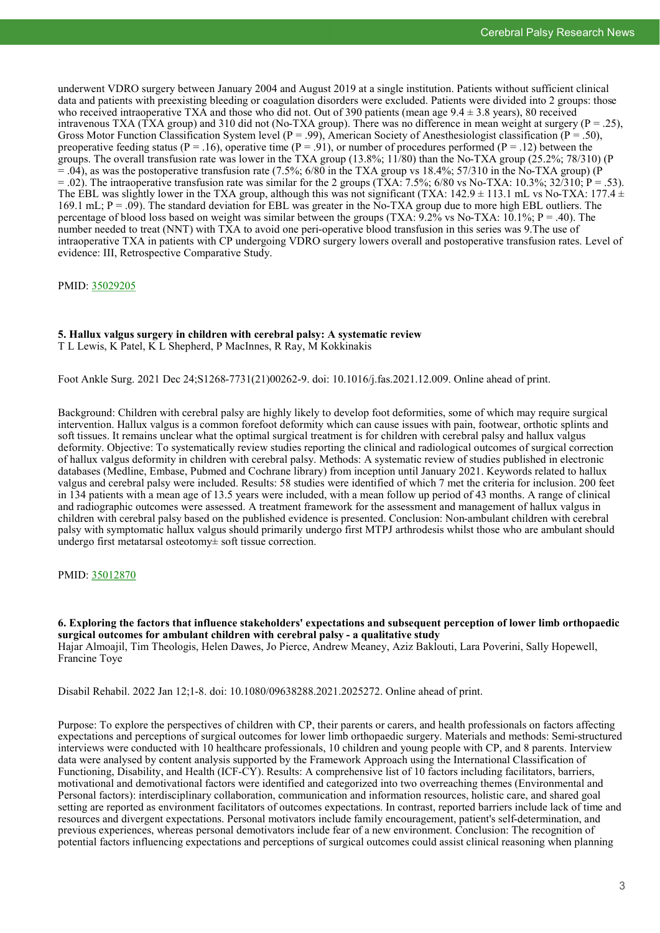underwent VDRO surgery between January 2004 and August 2019 at a single institution. Patients without sufficient clinical data and patients with preexisting bleeding or coagulation disorders were excluded. Patients were divided into 2 groups: those who received intraoperative TXA and those who did not. Out of 390 patients (mean age  $9.4 \pm 3.8$  years), 80 received intravenous TXA (TXA group) and 310 did not (No-TXA group). There was no difference in mean weight at surgery ( $P = .25$ ), Gross Motor Function Classification System level  $(P = .99)$ , American Society of Anesthesiologist classification  $(P = .50)$ , preoperative feeding status (P = .16), operative time (P = .91), or number of procedures performed (P = .12) between the groups. The overall transfusion rate was lower in the TXA group (13.8%; 11/80) than the No-TXA group (25.2%; 78/310) (P  $= .04$ ), as was the postoperative transfusion rate (7.5%; 6/80 in the TXA group vs 18.4%; 57/310 in the No-TXA group) (P  $=$  .02). The intraoperative transfusion rate was similar for the 2 groups (TXA: 7.5%; 6/80 vs No-TXA: 10.3%; 32/310; P = .53). The EBL was slightly lower in the TXA group, although this was not significant (TXA:  $142.9 \pm 113.1$  mL vs No-TXA:  $177.4 \pm 113.1$ 169.1 mL; P = .09). The standard deviation for EBL was greater in the No-TXA group due to more high EBL outliers. The percentage of blood loss based on weight was similar between the groups (TXA:  $9.2\%$  vs No-TXA:  $10.1\%$ ; P = .40). The number needed to treat (NNT) with TXA to avoid one peri-operative blood transfusion in this series was 9.The use of intraoperative TXA in patients with CP undergoing VDRO surgery lowers overall and postoperative transfusion rates. Level of evidence: III, Retrospective Comparative Study.

#### PMID: [35029205](https://pubmed.ncbi.nlm.nih.gov/35029205)

#### **5. Hallux valgus surgery in children with cerebral palsy: A systematic review** T L Lewis, K Patel, K L Shepherd, P MacInnes, R Ray, M Kokkinakis

Foot Ankle Surg. 2021 Dec 24;S1268-7731(21)00262-9. doi: 10.1016/j.fas.2021.12.009. Online ahead of print.

Background: Children with cerebral palsy are highly likely to develop foot deformities, some of which may require surgical intervention. Hallux valgus is a common forefoot deformity which can cause issues with pain, footwear, orthotic splints and soft tissues. It remains unclear what the optimal surgical treatment is for children with cerebral palsy and hallux valgus deformity. Objective: To systematically review studies reporting the clinical and radiological outcomes of surgical correction of hallux valgus deformity in children with cerebral palsy. Methods: A systematic review of studies published in electronic databases (Medline, Embase, Pubmed and Cochrane library) from inception until January 2021. Keywords related to hallux valgus and cerebral palsy were included. Results: 58 studies were identified of which 7 met the criteria for inclusion. 200 feet in 134 patients with a mean age of 13.5 years were included, with a mean follow up period of 43 months. A range of clinical and radiographic outcomes were assessed. A treatment framework for the assessment and management of hallux valgus in children with cerebral palsy based on the published evidence is presented. Conclusion: Non-ambulant children with cerebral palsy with symptomatic hallux valgus should primarily undergo first MTPJ arthrodesis whilst those who are ambulant should undergo first metatarsal osteotomy± soft tissue correction.

#### PMID: [35012870](https://pubmed.ncbi.nlm.nih.gov/35012870)

**6. Exploring the factors that influence stakeholders' expectations and subsequent perception of lower limb orthopaedic surgical outcomes for ambulant children with cerebral palsy - a qualitative study** Hajar Almoajil, Tim Theologis, Helen Dawes, Jo Pierce, Andrew Meaney, Aziz Baklouti, Lara Poverini, Sally Hopewell, Francine Toye

Disabil Rehabil. 2022 Jan 12;1-8. doi: 10.1080/09638288.2021.2025272. Online ahead of print.

Purpose: To explore the perspectives of children with CP, their parents or carers, and health professionals on factors affecting expectations and perceptions of surgical outcomes for lower limb orthopaedic surgery. Materials and methods: Semi-structured interviews were conducted with 10 healthcare professionals, 10 children and young people with CP, and 8 parents. Interview data were analysed by content analysis supported by the Framework Approach using the International Classification of Functioning, Disability, and Health (ICF-CY). Results: A comprehensive list of 10 factors including facilitators, barriers, motivational and demotivational factors were identified and categorized into two overreaching themes (Environmental and Personal factors): interdisciplinary collaboration, communication and information resources, holistic care, and shared goal setting are reported as environment facilitators of outcomes expectations. In contrast, reported barriers include lack of time and resources and divergent expectations. Personal motivators include family encouragement, patient's self-determination, and previous experiences, whereas personal demotivators include fear of a new environment. Conclusion: The recognition of potential factors influencing expectations and perceptions of surgical outcomes could assist clinical reasoning when planning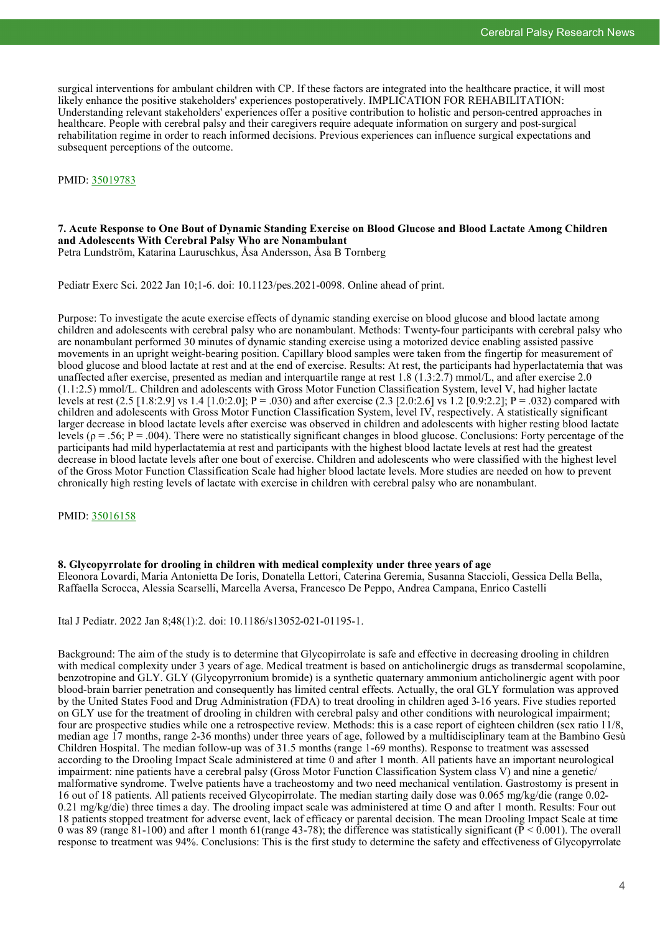surgical interventions for ambulant children with CP. If these factors are integrated into the healthcare practice, it will most likely enhance the positive stakeholders' experiences postoperatively. IMPLICATION FOR REHABILITATION: Understanding relevant stakeholders' experiences offer a positive contribution to holistic and person-centred approaches in healthcare. People with cerebral palsy and their caregivers require adequate information on surgery and post-surgical rehabilitation regime in order to reach informed decisions. Previous experiences can influence surgical expectations and subsequent perceptions of the outcome.

#### PMID: [35019783](https://pubmed.ncbi.nlm.nih.gov/35019783)

**7. Acute Response to One Bout of Dynamic Standing Exercise on Blood Glucose and Blood Lactate Among Children and Adolescents With Cerebral Palsy Who are Nonambulant** Petra Lundström, Katarina Lauruschkus, Åsa Andersson, Åsa B Tornberg

Pediatr Exerc Sci. 2022 Jan 10;1-6. doi: 10.1123/pes.2021-0098. Online ahead of print.

Purpose: To investigate the acute exercise effects of dynamic standing exercise on blood glucose and blood lactate among children and adolescents with cerebral palsy who are nonambulant. Methods: Twenty-four participants with cerebral palsy who are nonambulant performed 30 minutes of dynamic standing exercise using a motorized device enabling assisted passive movements in an upright weight-bearing position. Capillary blood samples were taken from the fingertip for measurement of blood glucose and blood lactate at rest and at the end of exercise. Results: At rest, the participants had hyperlactatemia that was unaffected after exercise, presented as median and interquartile range at rest 1.8 (1.3:2.7) mmol/L, and after exercise 2.0 (1.1:2.5) mmol/L. Children and adolescents with Gross Motor Function Classification System, level V, had higher lactate levels at rest (2.5 [1.8:2.9] vs 1.4 [1.0:2.0]; P = .030) and after exercise (2.3 [2.0:2.6] vs 1.2 [0.9:2.2]; P = .032) compared with children and adolescents with Gross Motor Function Classification System, level IV, respectively. A statistically significant larger decrease in blood lactate levels after exercise was observed in children and adolescents with higher resting blood lactate levels ( $\rho = .56$ ; P = .004). There were no statistically significant changes in blood glucose. Conclusions: Forty percentage of the participants had mild hyperlactatemia at rest and participants with the highest blood lactate levels at rest had the greatest decrease in blood lactate levels after one bout of exercise. Children and adolescents who were classified with the highest level of the Gross Motor Function Classification Scale had higher blood lactate levels. More studies are needed on how to prevent chronically high resting levels of lactate with exercise in children with cerebral palsy who are nonambulant.

PMID: [35016158](https://pubmed.ncbi.nlm.nih.gov/35016158)

**8. Glycopyrrolate for drooling in children with medical complexity under three years of age** Eleonora Lovardi, Maria Antonietta De Ioris, Donatella Lettori, Caterina Geremia, Susanna Staccioli, Gessica Della Bella, Raffaella Scrocca, Alessia Scarselli, Marcella Aversa, Francesco De Peppo, Andrea Campana, Enrico Castelli

Ital J Pediatr. 2022 Jan 8;48(1):2. doi: 10.1186/s13052-021-01195-1.

Background: The aim of the study is to determine that Glycopirrolate is safe and effective in decreasing drooling in children with medical complexity under 3 years of age. Medical treatment is based on anticholinergic drugs as transdermal scopolamine, benzotropine and GLY. GLY (Glycopyrronium bromide) is a synthetic quaternary ammonium anticholinergic agent with poor blood-brain barrier penetration and consequently has limited central effects. Actually, the oral GLY formulation was approved by the United States Food and Drug Administration (FDA) to treat drooling in children aged 3-16 years. Five studies reported on GLY use for the treatment of drooling in children with cerebral palsy and other conditions with neurological impairment; four are prospective studies while one a retrospective review. Methods: this is a case report of eighteen children (sex ratio 11/8, median age 17 months, range 2-36 months) under three years of age, followed by a multidisciplinary team at the Bambino Gesù Children Hospital. The median follow-up was of 31.5 months (range 1-69 months). Response to treatment was assessed according to the Drooling Impact Scale administered at time 0 and after 1 month. All patients have an important neurological impairment: nine patients have a cerebral palsy (Gross Motor Function Classification System class V) and nine a genetic/ malformative syndrome. Twelve patients have a tracheostomy and two need mechanical ventilation. Gastrostomy is present in 16 out of 18 patients. All patients received Glycopirrolate. The median starting daily dose was 0.065 mg/kg/die (range 0.02- 0.21 mg/kg/die) three times a day. The drooling impact scale was administered at time O and after 1 month. Results: Four out 18 patients stopped treatment for adverse event, lack of efficacy or parental decision. The mean Drooling Impact Scale at time 0 was 89 (range 81-100) and after 1 month 61(range 43-78); the difference was statistically significant ( $\bar{P}$  < 0.001). The overall response to treatment was 94%. Conclusions: This is the first study to determine the safety and effectiveness of Glycopyrrolate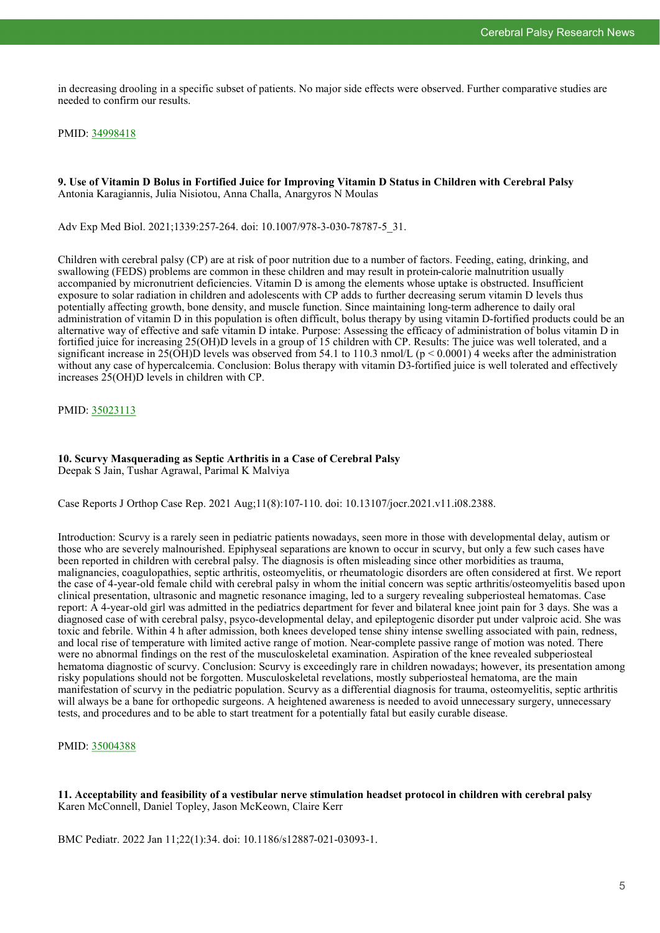in decreasing drooling in a specific subset of patients. No major side effects were observed. Further comparative studies are needed to confirm our results.

PMID: [34998418](https://pubmed.ncbi.nlm.nih.gov/34998418)

**9. Use of Vitamin D Bolus in Fortified Juice for Improving Vitamin D Status in Children with Cerebral Palsy** Antonia Karagiannis, Julia Nisiotou, Anna Challa, Anargyros N Moulas

Adv Exp Med Biol. 2021;1339:257-264. doi: 10.1007/978-3-030-78787-5\_31.

Children with cerebral palsy (CP) are at risk of poor nutrition due to a number of factors. Feeding, eating, drinking, and swallowing (FEDS) problems are common in these children and may result in protein-calorie malnutrition usually accompanied by micronutrient deficiencies. Vitamin D is among the elements whose uptake is obstructed. Insufficient exposure to solar radiation in children and adolescents with CP adds to further decreasing serum vitamin D levels thus potentially affecting growth, bone density, and muscle function. Since maintaining long-term adherence to daily oral administration of vitamin D in this population is often difficult, bolus therapy by using vitamin D-fortified products could be an alternative way of effective and safe vitamin D intake. Purpose: Assessing the efficacy of administration of bolus vitamin D in fortified juice for increasing 25(OH)D levels in a group of 15 children with CP. Results: The juice was well tolerated, and a significant increase in 25(OH)D levels was observed from 54.1 to 110.3 nmol/L ( $p < 0.0001$ ) 4 weeks after the administration without any case of hypercalcemia. Conclusion: Bolus therapy with vitamin D3-fortified juice is well tolerated and effectively increases 25(OH)D levels in children with CP.

#### PMID: [35023113](https://pubmed.ncbi.nlm.nih.gov/35023113)

## **10. Scurvy Masquerading as Septic Arthritis in a Case of Cerebral Palsy**

Deepak S Jain, Tushar Agrawal, Parimal K Malviya

Case Reports J Orthop Case Rep. 2021 Aug;11(8):107-110. doi: 10.13107/jocr.2021.v11.i08.2388.

Introduction: Scurvy is a rarely seen in pediatric patients nowadays, seen more in those with developmental delay, autism or those who are severely malnourished. Epiphyseal separations are known to occur in scurvy, but only a few such cases have been reported in children with cerebral palsy. The diagnosis is often misleading since other morbidities as trauma, malignancies, coagulopathies, septic arthritis, osteomyelitis, or rheumatologic disorders are often considered at first. We report the case of 4-year-old female child with cerebral palsy in whom the initial concern was septic arthritis/osteomyelitis based upon clinical presentation, ultrasonic and magnetic resonance imaging, led to a surgery revealing subperiosteal hematomas. Case report: A 4-year-old girl was admitted in the pediatrics department for fever and bilateral knee joint pain for 3 days. She was a diagnosed case of with cerebral palsy, psyco-developmental delay, and epileptogenic disorder put under valproic acid. She was toxic and febrile. Within 4 h after admission, both knees developed tense shiny intense swelling associated with pain, redness, and local rise of temperature with limited active range of motion. Near-complete passive range of motion was noted. There were no abnormal findings on the rest of the musculoskeletal examination. Aspiration of the knee revealed subperiosteal hematoma diagnostic of scurvy. Conclusion: Scurvy is exceedingly rare in children nowadays; however, its presentation among risky populations should not be forgotten. Musculoskeletal revelations, mostly subperiosteal hematoma, are the main manifestation of scurvy in the pediatric population. Scurvy as a differential diagnosis for trauma, osteomyelitis, septic arthritis will always be a bane for orthopedic surgeons. A heightened awareness is needed to avoid unnecessary surgery, unnecessary tests, and procedures and to be able to start treatment for a potentially fatal but easily curable disease.

#### PMID: [35004388](https://pubmed.ncbi.nlm.nih.gov/35004388)

**11. Acceptability and feasibility of a vestibular nerve stimulation headset protocol in children with cerebral palsy** Karen McConnell, Daniel Topley, Jason McKeown, Claire Kerr

BMC Pediatr. 2022 Jan 11;22(1):34. doi: 10.1186/s12887-021-03093-1.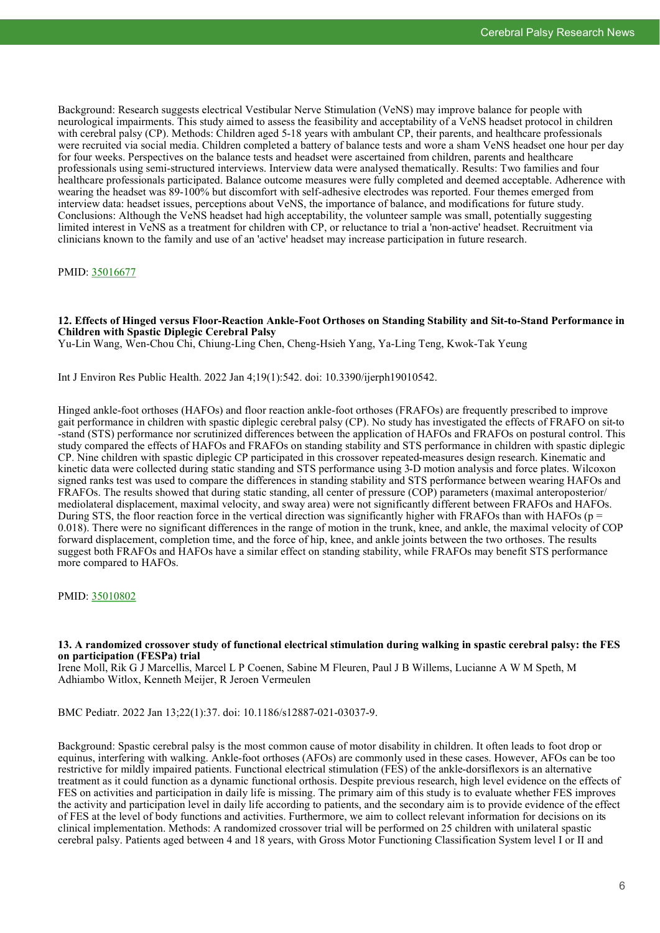Background: Research suggests electrical Vestibular Nerve Stimulation (VeNS) may improve balance for people with neurological impairments. This study aimed to assess the feasibility and acceptability of a VeNS headset protocol in children with cerebral palsy (CP). Methods: Children aged 5-18 years with ambulant CP, their parents, and healthcare professionals were recruited via social media. Children completed a battery of balance tests and wore a sham VeNS headset one hour per day for four weeks. Perspectives on the balance tests and headset were ascertained from children, parents and healthcare professionals using semi-structured interviews. Interview data were analysed thematically. Results: Two families and four healthcare professionals participated. Balance outcome measures were fully completed and deemed acceptable. Adherence with wearing the headset was 89-100% but discomfort with self-adhesive electrodes was reported. Four themes emerged from interview data: headset issues, perceptions about VeNS, the importance of balance, and modifications for future study. Conclusions: Although the VeNS headset had high acceptability, the volunteer sample was small, potentially suggesting limited interest in VeNS as a treatment for children with CP, or reluctance to trial a 'non-active' headset. Recruitment via clinicians known to the family and use of an 'active' headset may increase participation in future research.

#### PMID: [35016677](https://pubmed.ncbi.nlm.nih.gov/35016677)

**12. Effects of Hinged versus Floor-Reaction Ankle-Foot Orthoses on Standing Stability and Sit-to-Stand Performance in Children with Spastic Diplegic Cerebral Palsy**

Yu-Lin Wang, Wen-Chou Chi, Chiung-Ling Chen, Cheng-Hsieh Yang, Ya-Ling Teng, Kwok-Tak Yeung

Int J Environ Res Public Health. 2022 Jan 4;19(1):542. doi: 10.3390/ijerph19010542.

Hinged ankle-foot orthoses (HAFOs) and floor reaction ankle-foot orthoses (FRAFOs) are frequently prescribed to improve gait performance in children with spastic diplegic cerebral palsy (CP). No study has investigated the effects of FRAFO on sit-to -stand (STS) performance nor scrutinized differences between the application of HAFOs and FRAFOs on postural control. This study compared the effects of HAFOs and FRAFOs on standing stability and STS performance in children with spastic diplegic CP. Nine children with spastic diplegic CP participated in this crossover repeated-measures design research. Kinematic and kinetic data were collected during static standing and STS performance using 3-D motion analysis and force plates. Wilcoxon signed ranks test was used to compare the differences in standing stability and STS performance between wearing HAFOs and FRAFOs. The results showed that during static standing, all center of pressure (COP) parameters (maximal anteroposterior/ mediolateral displacement, maximal velocity, and sway area) were not significantly different between FRAFOs and HAFOs. During STS, the floor reaction force in the vertical direction was significantly higher with FRAFOs than with HAFOs ( $p =$ 0.018). There were no significant differences in the range of motion in the trunk, knee, and ankle, the maximal velocity of COP forward displacement, completion time, and the force of hip, knee, and ankle joints between the two orthoses. The results suggest both FRAFOs and HAFOs have a similar effect on standing stability, while FRAFOs may benefit STS performance more compared to HAFOs.

PMID: [35010802](https://pubmed.ncbi.nlm.nih.gov/35010802)

#### **13. A randomized crossover study of functional electrical stimulation during walking in spastic cerebral palsy: the FES on participation (FESPa) trial**

Irene Moll, Rik G J Marcellis, Marcel L P Coenen, Sabine M Fleuren, Paul J B Willems, Lucianne A W M Speth, M Adhiambo Witlox, Kenneth Meijer, R Jeroen Vermeulen

BMC Pediatr. 2022 Jan 13;22(1):37. doi: 10.1186/s12887-021-03037-9.

Background: Spastic cerebral palsy is the most common cause of motor disability in children. It often leads to foot drop or equinus, interfering with walking. Ankle-foot orthoses (AFOs) are commonly used in these cases. However, AFOs can be too restrictive for mildly impaired patients. Functional electrical stimulation (FES) of the ankle-dorsiflexors is an alternative treatment as it could function as a dynamic functional orthosis. Despite previous research, high level evidence on the effects of FES on activities and participation in daily life is missing. The primary aim of this study is to evaluate whether FES improves the activity and participation level in daily life according to patients, and the secondary aim is to provide evidence of the effect of FES at the level of body functions and activities. Furthermore, we aim to collect relevant information for decisions on its clinical implementation. Methods: A randomized crossover trial will be performed on 25 children with unilateral spastic cerebral palsy. Patients aged between 4 and 18 years, with Gross Motor Functioning Classification System level I or II and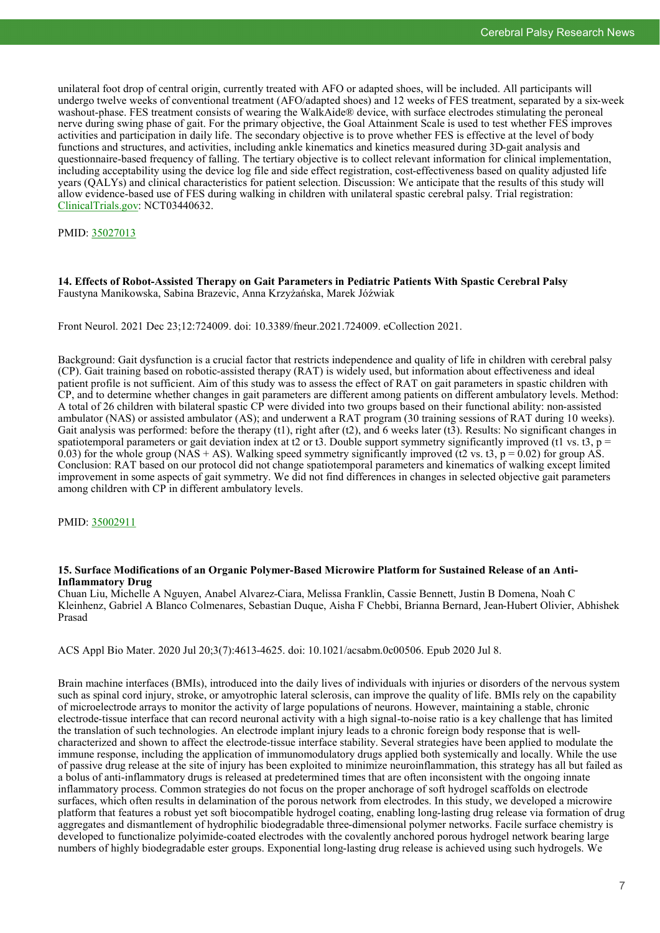unilateral foot drop of central origin, currently treated with AFO or adapted shoes, will be included. All participants will undergo twelve weeks of conventional treatment (AFO/adapted shoes) and 12 weeks of FES treatment, separated by a six-week washout-phase. FES treatment consists of wearing the WalkAide® device, with surface electrodes stimulating the peroneal nerve during swing phase of gait. For the primary objective, the Goal Attainment Scale is used to test whether FES improves activities and participation in daily life. The secondary objective is to prove whether FES is effective at the level of body functions and structures, and activities, including ankle kinematics and kinetics measured during 3D-gait analysis and questionnaire-based frequency of falling. The tertiary objective is to collect relevant information for clinical implementation, including acceptability using the device log file and side effect registration, cost-effectiveness based on quality adjusted life years (QALYs) and clinical characteristics for patient selection. Discussion: We anticipate that the results of this study will allow evidence-based use of FES during walking in children with unilateral spastic cerebral palsy. Trial registration: [ClinicalTrials.gov:](https://clinicaltrials.gov/) NCT03440632.

PMID: [35027013](https://pubmed.ncbi.nlm.nih.gov/35027013)

#### **14. Effects of Robot-Assisted Therapy on Gait Parameters in Pediatric Patients With Spastic Cerebral Palsy** Faustyna Manikowska, Sabina Brazevic, Anna Krzyżańska, Marek Jóźwiak

Front Neurol. 2021 Dec 23;12:724009. doi: 10.3389/fneur.2021.724009. eCollection 2021.

Background: Gait dysfunction is a crucial factor that restricts independence and quality of life in children with cerebral palsy (CP). Gait training based on robotic-assisted therapy (RAT) is widely used, but information about effectiveness and ideal patient profile is not sufficient. Aim of this study was to assess the effect of RAT on gait parameters in spastic children with CP, and to determine whether changes in gait parameters are different among patients on different ambulatory levels. Method: A total of 26 children with bilateral spastic CP were divided into two groups based on their functional ability: non-assisted ambulator (NAS) or assisted ambulator (AS); and underwent a RAT program (30 training sessions of RAT during 10 weeks). Gait analysis was performed: before the therapy (t1), right after (t2), and 6 weeks later (t3). Results: No significant changes in spatiotemporal parameters or gait deviation index at t2 or t3. Double support symmetry significantly improved (t1 vs. t3, p = 0.03) for the whole group (NAS + AS). Walking speed symmetry significantly improved (t2 vs. t3,  $p = 0.02$ ) for group AS. Conclusion: RAT based on our protocol did not change spatiotemporal parameters and kinematics of walking except limited improvement in some aspects of gait symmetry. We did not find differences in changes in selected objective gait parameters among children with CP in different ambulatory levels.

PMID: [35002911](https://pubmed.ncbi.nlm.nih.gov/35002911)

#### **15. Surface Modifications of an Organic Polymer-Based Microwire Platform for Sustained Release of an Anti-Inflammatory Drug**

Chuan Liu, Michelle A Nguyen, Anabel Alvarez-Ciara, Melissa Franklin, Cassie Bennett, Justin B Domena, Noah C Kleinhenz, Gabriel A Blanco Colmenares, Sebastian Duque, Aisha F Chebbi, Brianna Bernard, Jean-Hubert Olivier, Abhishek Prasad

ACS Appl Bio Mater. 2020 Jul 20;3(7):4613-4625. doi: 10.1021/acsabm.0c00506. Epub 2020 Jul 8.

Brain machine interfaces (BMIs), introduced into the daily lives of individuals with injuries or disorders of the nervous system such as spinal cord injury, stroke, or amyotrophic lateral sclerosis, can improve the quality of life. BMIs rely on the capability of microelectrode arrays to monitor the activity of large populations of neurons. However, maintaining a stable, chronic electrode-tissue interface that can record neuronal activity with a high signal-to-noise ratio is a key challenge that has limited the translation of such technologies. An electrode implant injury leads to a chronic foreign body response that is wellcharacterized and shown to affect the electrode-tissue interface stability. Several strategies have been applied to modulate the immune response, including the application of immunomodulatory drugs applied both systemically and locally. While the use of passive drug release at the site of injury has been exploited to minimize neuroinflammation, this strategy has all but failed as a bolus of anti-inflammatory drugs is released at predetermined times that are often inconsistent with the ongoing innate inflammatory process. Common strategies do not focus on the proper anchorage of soft hydrogel scaffolds on electrode surfaces, which often results in delamination of the porous network from electrodes. In this study, we developed a microwire platform that features a robust yet soft biocompatible hydrogel coating, enabling long-lasting drug release via formation of drug aggregates and dismantlement of hydrophilic biodegradable three-dimensional polymer networks. Facile surface chemistry is developed to functionalize polyimide-coated electrodes with the covalently anchored porous hydrogel network bearing large numbers of highly biodegradable ester groups. Exponential long-lasting drug release is achieved using such hydrogels. We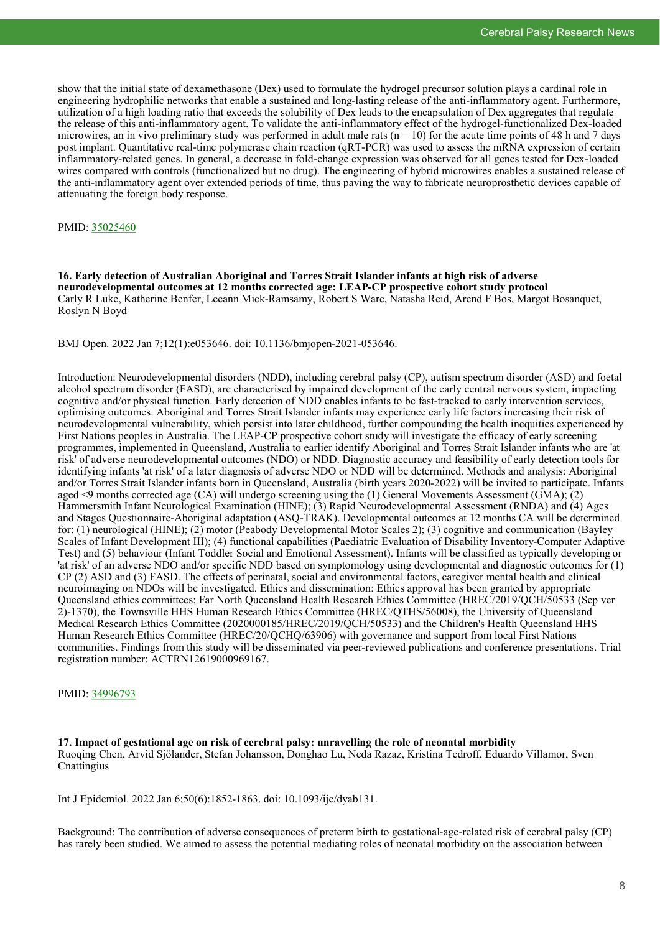show that the initial state of dexamethasone (Dex) used to formulate the hydrogel precursor solution plays a cardinal role in engineering hydrophilic networks that enable a sustained and long-lasting release of the anti-inflammatory agent. Furthermore, utilization of a high loading ratio that exceeds the solubility of Dex leads to the encapsulation of Dex aggregates that regulate the release of this anti-inflammatory agent. To validate the anti-inflammatory effect of the hydrogel-functionalized Dex-loaded microwires, an in vivo preliminary study was performed in adult male rats  $(n = 10)$  for the acute time points of 48 h and 7 days post implant. Quantitative real-time polymerase chain reaction (qRT-PCR) was used to assess the mRNA expression of certain inflammatory-related genes. In general, a decrease in fold-change expression was observed for all genes tested for Dex-loaded wires compared with controls (functionalized but no drug). The engineering of hybrid microwires enables a sustained release of the anti-inflammatory agent over extended periods of time, thus paving the way to fabricate neuroprosthetic devices capable of attenuating the foreign body response.

PMID: [35025460](https://pubmed.ncbi.nlm.nih.gov/35025460)

**16. Early detection of Australian Aboriginal and Torres Strait Islander infants at high risk of adverse neurodevelopmental outcomes at 12 months corrected age: LEAP-CP prospective cohort study protocol** Carly R Luke, Katherine Benfer, Leeann Mick-Ramsamy, Robert S Ware, Natasha Reid, Arend F Bos, Margot Bosanquet, Roslyn N Boyd

BMJ Open. 2022 Jan 7;12(1):e053646. doi: 10.1136/bmjopen-2021-053646.

Introduction: Neurodevelopmental disorders (NDD), including cerebral palsy (CP), autism spectrum disorder (ASD) and foetal alcohol spectrum disorder (FASD), are characterised by impaired development of the early central nervous system, impacting cognitive and/or physical function. Early detection of NDD enables infants to be fast-tracked to early intervention services, optimising outcomes. Aboriginal and Torres Strait Islander infants may experience early life factors increasing their risk of neurodevelopmental vulnerability, which persist into later childhood, further compounding the health inequities experienced by First Nations peoples in Australia. The LEAP-CP prospective cohort study will investigate the efficacy of early screening programmes, implemented in Queensland, Australia to earlier identify Aboriginal and Torres Strait Islander infants who are 'at risk' of adverse neurodevelopmental outcomes (NDO) or NDD. Diagnostic accuracy and feasibility of early detection tools for identifying infants 'at risk' of a later diagnosis of adverse NDO or NDD will be determined. Methods and analysis: Aboriginal and/or Torres Strait Islander infants born in Queensland, Australia (birth years 2020-2022) will be invited to participate. Infants aged <9 months corrected age (CA) will undergo screening using the (1) General Movements Assessment (GMA); (2) Hammersmith Infant Neurological Examination (HINE); (3) Rapid Neurodevelopmental Assessment (RNDA) and (4) Ages and Stages Questionnaire-Aboriginal adaptation (ASQ-TRAK). Developmental outcomes at 12 months CA will be determined for: (1) neurological (HINE); (2) motor (Peabody Developmental Motor Scales 2); (3) cognitive and communication (Bayley Scales of Infant Development III); (4) functional capabilities (Paediatric Evaluation of Disability Inventory-Computer Adaptive Test) and (5) behaviour (Infant Toddler Social and Emotional Assessment). Infants will be classified as typically developing or 'at risk' of an adverse NDO and/or specific NDD based on symptomology using developmental and diagnostic outcomes for (1) CP (2) ASD and (3) FASD. The effects of perinatal, social and environmental factors, caregiver mental health and clinical neuroimaging on NDOs will be investigated. Ethics and dissemination: Ethics approval has been granted by appropriate Queensland ethics committees; Far North Queensland Health Research Ethics Committee (HREC/2019/QCH/50533 (Sep ver 2)-1370), the Townsville HHS Human Research Ethics Committee (HREC/QTHS/56008), the University of Queensland Medical Research Ethics Committee (2020000185/HREC/2019/QCH/50533) and the Children's Health Queensland HHS Human Research Ethics Committee (HREC/20/QCHQ/63906) with governance and support from local First Nations communities. Findings from this study will be disseminated via peer-reviewed publications and conference presentations. Trial registration number: ACTRN12619000969167.

PMID: [34996793](https://pubmed.ncbi.nlm.nih.gov/34996793)

**17. Impact of gestational age on risk of cerebral palsy: unravelling the role of neonatal morbidity** Ruoqing Chen, Arvid Sjölander, Stefan Johansson, Donghao Lu, Neda Razaz, Kristina Tedroff, Eduardo Villamor, Sven **Cnattingius** 

Int J Epidemiol. 2022 Jan 6;50(6):1852-1863. doi: 10.1093/ije/dyab131.

Background: The contribution of adverse consequences of preterm birth to gestational-age-related risk of cerebral palsy (CP) has rarely been studied. We aimed to assess the potential mediating roles of neonatal morbidity on the association between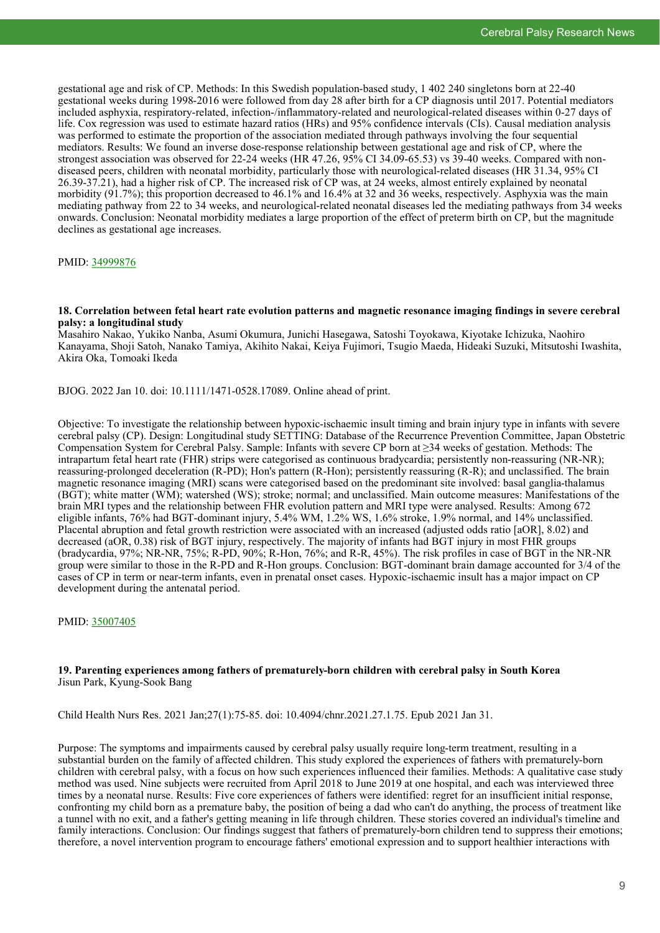gestational age and risk of CP. Methods: In this Swedish population-based study, 1 402 240 singletons born at 22-40 gestational weeks during 1998-2016 were followed from day 28 after birth for a CP diagnosis until 2017. Potential mediators included asphyxia, respiratory-related, infection-/inflammatory-related and neurological-related diseases within 0-27 days of life. Cox regression was used to estimate hazard ratios (HRs) and 95% confidence intervals (CIs). Causal mediation analysis was performed to estimate the proportion of the association mediated through pathways involving the four sequential mediators. Results: We found an inverse dose-response relationship between gestational age and risk of CP, where the strongest association was observed for 22-24 weeks (HR 47.26, 95% CI 34.09-65.53) vs 39-40 weeks. Compared with nondiseased peers, children with neonatal morbidity, particularly those with neurological-related diseases (HR 31.34, 95% CI 26.39-37.21), had a higher risk of CP. The increased risk of CP was, at 24 weeks, almost entirely explained by neonatal morbidity (91.7%); this proportion decreased to 46.1% and 16.4% at 32 and 36 weeks, respectively. Asphyxia was the main mediating pathway from 22 to 34 weeks, and neurological-related neonatal diseases led the mediating pathways from 34 weeks onwards. Conclusion: Neonatal morbidity mediates a large proportion of the effect of preterm birth on CP, but the magnitude declines as gestational age increases.

#### PMID: [34999876](https://pubmed.ncbi.nlm.nih.gov/34999876)

#### **18. Correlation between fetal heart rate evolution patterns and magnetic resonance imaging findings in severe cerebral palsy: a longitudinal study**

Masahiro Nakao, Yukiko Nanba, Asumi Okumura, Junichi Hasegawa, Satoshi Toyokawa, Kiyotake Ichizuka, Naohiro Kanayama, Shoji Satoh, Nanako Tamiya, Akihito Nakai, Keiya Fujimori, Tsugio Maeda, Hideaki Suzuki, Mitsutoshi Iwashita, Akira Oka, Tomoaki Ikeda

BJOG. 2022 Jan 10. doi: 10.1111/1471-0528.17089. Online ahead of print.

Objective: To investigate the relationship between hypoxic-ischaemic insult timing and brain injury type in infants with severe cerebral palsy (CP). Design: Longitudinal study SETTING: Database of the Recurrence Prevention Committee, Japan Obstetric Compensation System for Cerebral Palsy. Sample: Infants with severe CP born at ≥34 weeks of gestation. Methods: The intrapartum fetal heart rate (FHR) strips were categorised as continuous bradycardia; persistently non-reassuring (NR-NR); reassuring-prolonged deceleration (R-PD); Hon's pattern (R-Hon); persistently reassuring (R-R); and unclassified. The brain magnetic resonance imaging (MRI) scans were categorised based on the predominant site involved: basal ganglia-thalamus (BGT); white matter (WM); watershed (WS); stroke; normal; and unclassified. Main outcome measures: Manifestations of the brain MRI types and the relationship between FHR evolution pattern and MRI type were analysed. Results: Among 672 eligible infants, 76% had BGT-dominant injury, 5.4% WM, 1.2% WS, 1.6% stroke, 1.9% normal, and 14% unclassified. Placental abruption and fetal growth restriction were associated with an increased (adjusted odds ratio [aOR], 8.02) and decreased (aOR, 0.38) risk of BGT injury, respectively. The majority of infants had BGT injury in most FHR groups (bradycardia, 97%; NR-NR, 75%; R-PD, 90%; R-Hon, 76%; and R-R, 45%). The risk profiles in case of BGT in the NR-NR group were similar to those in the R-PD and R-Hon groups. Conclusion: BGT-dominant brain damage accounted for 3/4 of the cases of CP in term or near-term infants, even in prenatal onset cases. Hypoxic-ischaemic insult has a major impact on CP development during the antenatal period.

PMID: [35007405](https://pubmed.ncbi.nlm.nih.gov/35007405)

#### **19. Parenting experiences among fathers of prematurely-born children with cerebral palsy in South Korea** Jisun Park, Kyung-Sook Bang

Child Health Nurs Res. 2021 Jan;27(1):75-85. doi: 10.4094/chnr.2021.27.1.75. Epub 2021 Jan 31.

Purpose: The symptoms and impairments caused by cerebral palsy usually require long-term treatment, resulting in a substantial burden on the family of affected children. This study explored the experiences of fathers with prematurely-born children with cerebral palsy, with a focus on how such experiences influenced their families. Methods: A qualitative case study method was used. Nine subjects were recruited from April 2018 to June 2019 at one hospital, and each was interviewed three times by a neonatal nurse. Results: Five core experiences of fathers were identified: regret for an insufficient initial response, confronting my child born as a premature baby, the position of being a dad who can't do anything, the process of treatment like a tunnel with no exit, and a father's getting meaning in life through children. These stories covered an individual's timeline and family interactions. Conclusion: Our findings suggest that fathers of prematurely-born children tend to suppress their emotions; therefore, a novel intervention program to encourage fathers' emotional expression and to support healthier interactions with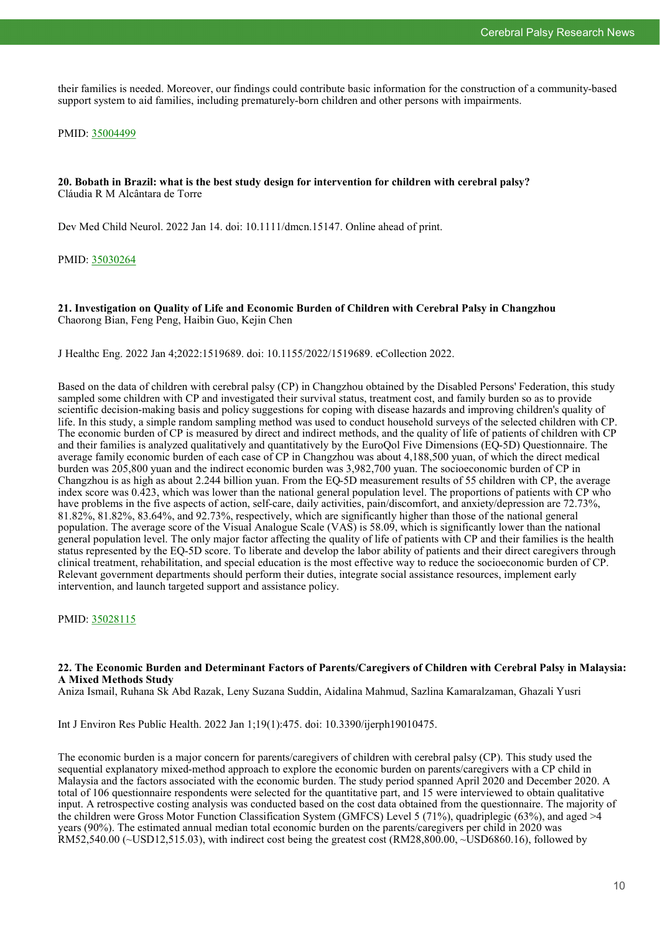their families is needed. Moreover, our findings could contribute basic information for the construction of a community-based support system to aid families, including prematurely-born children and other persons with impairments.

#### PMID: [35004499](https://pubmed.ncbi.nlm.nih.gov/35004499)

**20. Bobath in Brazil: what is the best study design for intervention for children with cerebral palsy?** Cláudia R M Alcântara de Torre

Dev Med Child Neurol. 2022 Jan 14. doi: 10.1111/dmcn.15147. Online ahead of print.

#### PMID: [35030264](https://pubmed.ncbi.nlm.nih.gov/35030264)

#### **21. Investigation on Quality of Life and Economic Burden of Children with Cerebral Palsy in Changzhou** Chaorong Bian, Feng Peng, Haibin Guo, Kejin Chen

J Healthc Eng. 2022 Jan 4;2022:1519689. doi: 10.1155/2022/1519689. eCollection 2022.

Based on the data of children with cerebral palsy (CP) in Changzhou obtained by the Disabled Persons' Federation, this study sampled some children with CP and investigated their survival status, treatment cost, and family burden so as to provide scientific decision-making basis and policy suggestions for coping with disease hazards and improving children's quality of life. In this study, a simple random sampling method was used to conduct household surveys of the selected children with CP. The economic burden of CP is measured by direct and indirect methods, and the quality of life of patients of children with CP and their families is analyzed qualitatively and quantitatively by the EuroQol Five Dimensions (EQ-5D) Questionnaire. The average family economic burden of each case of CP in Changzhou was about 4,188,500 yuan, of which the direct medical burden was 205,800 yuan and the indirect economic burden was 3,982,700 yuan. The socioeconomic burden of CP in Changzhou is as high as about 2.244 billion yuan. From the EQ-5D measurement results of 55 children with CP, the average index score was 0.423, which was lower than the national general population level. The proportions of patients with CP who have problems in the five aspects of action, self-care, daily activities, pain/discomfort, and anxiety/depression are 72.73%, 81.82%, 81.82%, 83.64%, and 92.73%, respectively, which are significantly higher than those of the national general population. The average score of the Visual Analogue Scale (VAS) is 58.09, which is significantly lower than the national general population level. The only major factor affecting the quality of life of patients with CP and their families is the health status represented by the EQ-5D score. To liberate and develop the labor ability of patients and their direct caregivers through clinical treatment, rehabilitation, and special education is the most effective way to reduce the socioeconomic burden of CP. Relevant government departments should perform their duties, integrate social assistance resources, implement early intervention, and launch targeted support and assistance policy.

PMID: [35028115](https://pubmed.ncbi.nlm.nih.gov/35028115)

#### **22. The Economic Burden and Determinant Factors of Parents/Caregivers of Children with Cerebral Palsy in Malaysia: A Mixed Methods Study**

Aniza Ismail, Ruhana Sk Abd Razak, Leny Suzana Suddin, Aidalina Mahmud, Sazlina Kamaralzaman, Ghazali Yusri

Int J Environ Res Public Health. 2022 Jan 1;19(1):475. doi: 10.3390/ijerph19010475.

The economic burden is a major concern for parents/caregivers of children with cerebral palsy (CP). This study used the sequential explanatory mixed-method approach to explore the economic burden on parents/caregivers with a CP child in Malaysia and the factors associated with the economic burden. The study period spanned April 2020 and December 2020. A total of 106 questionnaire respondents were selected for the quantitative part, and 15 were interviewed to obtain qualitative input. A retrospective costing analysis was conducted based on the cost data obtained from the questionnaire. The majority of the children were Gross Motor Function Classification System (GMFCS) Level 5 (71%), quadriplegic (63%), and aged >4 years (90%). The estimated annual median total economic burden on the parents/caregivers per child in 2020 was RM52,540.00 (~USD12,515.03), with indirect cost being the greatest cost (RM28,800.00, ~USD6860.16), followed by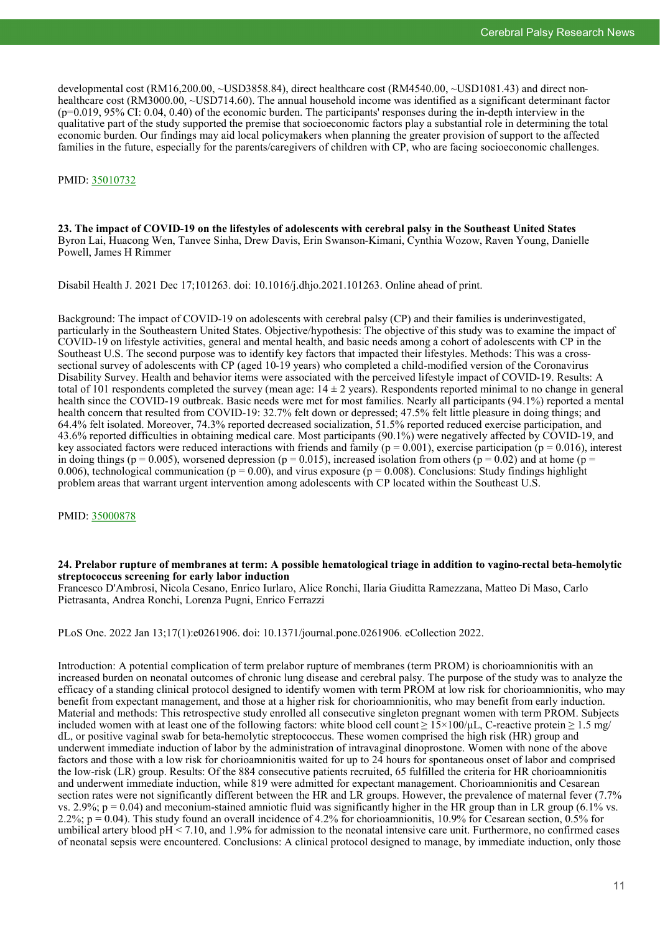developmental cost (RM16,200.00, ~USD3858.84), direct healthcare cost (RM4540.00, ~USD1081.43) and direct nonhealthcare cost (RM3000.00, ~USD714.60). The annual household income was identified as a significant determinant factor  $(p=0.019, 95\% \text{ CI}$ ; 0.04, 0.40) of the economic burden. The participants' responses during the in-depth interview in the qualitative part of the study supported the premise that socioeconomic factors play a substantial role in determining the total economic burden. Our findings may aid local policymakers when planning the greater provision of support to the affected families in the future, especially for the parents/caregivers of children with CP, who are facing socioeconomic challenges.

#### PMID: [35010732](https://pubmed.ncbi.nlm.nih.gov/35010732)

**23. The impact of COVID-19 on the lifestyles of adolescents with cerebral palsy in the Southeast United States** Byron Lai, Huacong Wen, Tanvee Sinha, Drew Davis, Erin Swanson-Kimani, Cynthia Wozow, Raven Young, Danielle Powell, James H Rimmer

Disabil Health J. 2021 Dec 17;101263. doi: 10.1016/j.dhjo.2021.101263. Online ahead of print.

Background: The impact of COVID-19 on adolescents with cerebral palsy (CP) and their families is underinvestigated, particularly in the Southeastern United States. Objective/hypothesis: The objective of this study was to examine the impact of COVID-19 on lifestyle activities, general and mental health, and basic needs among a cohort of adolescents with CP in the Southeast U.S. The second purpose was to identify key factors that impacted their lifestyles. Methods: This was a crosssectional survey of adolescents with CP (aged 10-19 years) who completed a child-modified version of the Coronavirus Disability Survey. Health and behavior items were associated with the perceived lifestyle impact of COVID-19. Results: A total of 101 respondents completed the survey (mean age:  $14 \pm 2$  years). Respondents reported minimal to no change in general health since the COVID-19 outbreak. Basic needs were met for most families. Nearly all participants (94.1%) reported a mental health concern that resulted from COVID-19: 32.7% felt down or depressed; 47.5% felt little pleasure in doing things; and 64.4% felt isolated. Moreover, 74.3% reported decreased socialization, 51.5% reported reduced exercise participation, and 43.6% reported difficulties in obtaining medical care. Most participants (90.1%) were negatively affected by COVID-19, and key associated factors were reduced interactions with friends and family ( $p = 0.001$ ), exercise participation ( $p = 0.016$ ), interest in doing things ( $p = 0.005$ ), worsened depression ( $p = 0.015$ ), increased isolation from others ( $p = 0.02$ ) and at home ( $p = 0.02$ ) 0.006), technological communication ( $p = 0.00$ ), and virus exposure ( $p = 0.008$ ). Conclusions: Study findings highlight problem areas that warrant urgent intervention among adolescents with CP located within the Southeast U.S.

PMID: [35000878](https://pubmed.ncbi.nlm.nih.gov/35000878)

#### **24. Prelabor rupture of membranes at term: A possible hematological triage in addition to vagino-rectal beta-hemolytic streptococcus screening for early labor induction**

Francesco D'Ambrosi, Nicola Cesano, Enrico Iurlaro, Alice Ronchi, Ilaria Giuditta Ramezzana, Matteo Di Maso, Carlo Pietrasanta, Andrea Ronchi, Lorenza Pugni, Enrico Ferrazzi

PLoS One. 2022 Jan 13;17(1):e0261906. doi: 10.1371/journal.pone.0261906. eCollection 2022.

Introduction: A potential complication of term prelabor rupture of membranes (term PROM) is chorioamnionitis with an increased burden on neonatal outcomes of chronic lung disease and cerebral palsy. The purpose of the study was to analyze the efficacy of a standing clinical protocol designed to identify women with term PROM at low risk for chorioamnionitis, who may benefit from expectant management, and those at a higher risk for chorioamnionitis, who may benefit from early induction. Material and methods: This retrospective study enrolled all consecutive singleton pregnant women with term PROM. Subjects included women with at least one of the following factors: white blood cell count  $\geq 15 \times 100/\mu L$ , C-reactive protein  $\geq 1.5$  mg/ dL, or positive vaginal swab for beta-hemolytic streptococcus. These women comprised the high risk (HR) group and underwent immediate induction of labor by the administration of intravaginal dinoprostone. Women with none of the above factors and those with a low risk for chorioamnionitis waited for up to 24 hours for spontaneous onset of labor and comprised the low-risk (LR) group. Results: Of the 884 consecutive patients recruited, 65 fulfilled the criteria for HR chorioamnionitis and underwent immediate induction, while 819 were admitted for expectant management. Chorioamnionitis and Cesarean section rates were not significantly different between the HR and LR groups. However, the prevalence of maternal fever (7.7% vs. 2.9%;  $p = 0.04$ ) and meconium-stained amniotic fluid was significantly higher in the HR group than in LR group (6.1% vs. 2.2%;  $p = 0.04$ ). This study found an overall incidence of 4.2% for chorioamnionitis, 10.9% for Cesarean section, 0.5% for umbilical artery blood pH < 7.10, and 1.9% for admission to the neonatal intensive care unit. Furthermore, no confirmed cases of neonatal sepsis were encountered. Conclusions: A clinical protocol designed to manage, by immediate induction, only those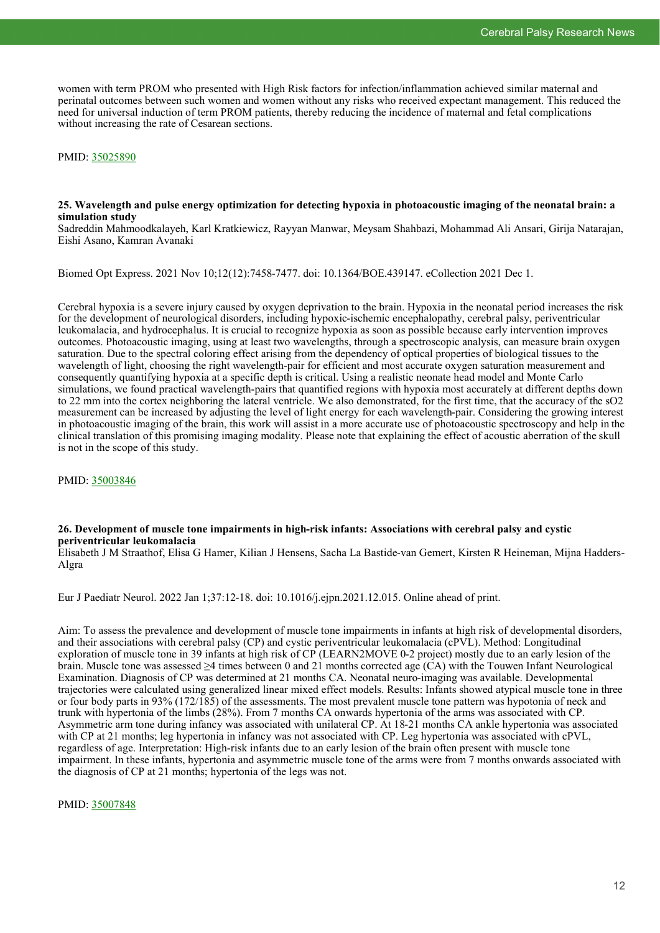women with term PROM who presented with High Risk factors for infection/inflammation achieved similar maternal and perinatal outcomes between such women and women without any risks who received expectant management. This reduced the need for universal induction of term PROM patients, thereby reducing the incidence of maternal and fetal complications without increasing the rate of Cesarean sections.

PMID: [35025890](https://pubmed.ncbi.nlm.nih.gov/35025890)

#### **25. Wavelength and pulse energy optimization for detecting hypoxia in photoacoustic imaging of the neonatal brain: a simulation study**

Sadreddin Mahmoodkalayeh, Karl Kratkiewicz, Rayyan Manwar, Meysam Shahbazi, Mohammad Ali Ansari, Girija Natarajan, Eishi Asano, Kamran Avanaki

Biomed Opt Express. 2021 Nov 10;12(12):7458-7477. doi: 10.1364/BOE.439147. eCollection 2021 Dec 1.

Cerebral hypoxia is a severe injury caused by oxygen deprivation to the brain. Hypoxia in the neonatal period increases the risk for the development of neurological disorders, including hypoxic-ischemic encephalopathy, cerebral palsy, periventricular leukomalacia, and hydrocephalus. It is crucial to recognize hypoxia as soon as possible because early intervention improves outcomes. Photoacoustic imaging, using at least two wavelengths, through a spectroscopic analysis, can measure brain oxygen saturation. Due to the spectral coloring effect arising from the dependency of optical properties of biological tissues to the wavelength of light, choosing the right wavelength-pair for efficient and most accurate oxygen saturation measurement and consequently quantifying hypoxia at a specific depth is critical. Using a realistic neonate head model and Monte Carlo simulations, we found practical wavelength-pairs that quantified regions with hypoxia most accurately at different depths down to 22 mm into the cortex neighboring the lateral ventricle. We also demonstrated, for the first time, that the accuracy of the sO2 measurement can be increased by adjusting the level of light energy for each wavelength-pair. Considering the growing interest in photoacoustic imaging of the brain, this work will assist in a more accurate use of photoacoustic spectroscopy and help in the clinical translation of this promising imaging modality. Please note that explaining the effect of acoustic aberration of the skull is not in the scope of this study.

PMID: [35003846](https://pubmed.ncbi.nlm.nih.gov/35003846)

#### **26. Development of muscle tone impairments in high-risk infants: Associations with cerebral palsy and cystic periventricular leukomalacia**

Elisabeth J M Straathof, Elisa G Hamer, Kilian J Hensens, Sacha La Bastide-van Gemert, Kirsten R Heineman, Mijna Hadders-Algra

Eur J Paediatr Neurol. 2022 Jan 1;37:12-18. doi: 10.1016/j.ejpn.2021.12.015. Online ahead of print.

Aim: To assess the prevalence and development of muscle tone impairments in infants at high risk of developmental disorders, and their associations with cerebral palsy (CP) and cystic periventricular leukomalacia (cPVL). Method: Longitudinal exploration of muscle tone in 39 infants at high risk of CP (LEARN2MOVE 0-2 project) mostly due to an early lesion of the brain. Muscle tone was assessed ≥4 times between 0 and 21 months corrected age (CA) with the Touwen Infant Neurological Examination. Diagnosis of CP was determined at 21 months CA. Neonatal neuro-imaging was available. Developmental trajectories were calculated using generalized linear mixed effect models. Results: Infants showed atypical muscle tone in three or four body parts in 93% (172/185) of the assessments. The most prevalent muscle tone pattern was hypotonia of neck and trunk with hypertonia of the limbs (28%). From 7 months CA onwards hypertonia of the arms was associated with CP. Asymmetric arm tone during infancy was associated with unilateral CP. At 18-21 months CA ankle hypertonia was associated with CP at 21 months; leg hypertonia in infancy was not associated with CP. Leg hypertonia was associated with cPVL, regardless of age. Interpretation: High-risk infants due to an early lesion of the brain often present with muscle tone impairment. In these infants, hypertonia and asymmetric muscle tone of the arms were from 7 months onwards associated with the diagnosis of CP at 21 months; hypertonia of the legs was not.

PMID: [35007848](https://pubmed.ncbi.nlm.nih.gov/35007848)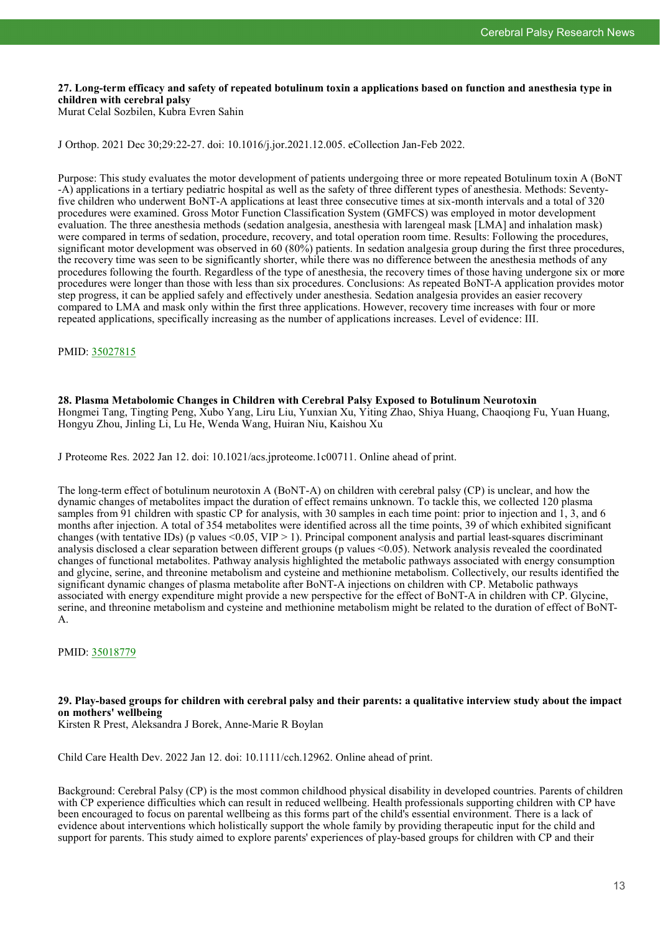# **27. Long-term efficacy and safety of repeated botulinum toxin a applications based on function and anesthesia type in children with cerebral palsy**

Murat Celal Sozbilen, Kubra Evren Sahin

J Orthop. 2021 Dec 30;29:22-27. doi: 10.1016/j.jor.2021.12.005. eCollection Jan-Feb 2022.

Purpose: This study evaluates the motor development of patients undergoing three or more repeated Botulinum toxin A (BoNT -A) applications in a tertiary pediatric hospital as well as the safety of three different types of anesthesia. Methods: Seventyfive children who underwent BoNT-A applications at least three consecutive times at six-month intervals and a total of 320 procedures were examined. Gross Motor Function Classification System (GMFCS) was employed in motor development evaluation. The three anesthesia methods (sedation analgesia, anesthesia with larengeal mask [LMA] and inhalation mask) were compared in terms of sedation, procedure, recovery, and total operation room time. Results: Following the procedures, significant motor development was observed in 60 (80%) patients. In sedation analgesia group during the first three procedures, the recovery time was seen to be significantly shorter, while there was no difference between the anesthesia methods of any procedures following the fourth. Regardless of the type of anesthesia, the recovery times of those having undergone six or more procedures were longer than those with less than six procedures. Conclusions: As repeated BoNT-A application provides motor step progress, it can be applied safely and effectively under anesthesia. Sedation analgesia provides an easier recovery compared to LMA and mask only within the first three applications. However, recovery time increases with four or more repeated applications, specifically increasing as the number of applications increases. Level of evidence: III.

#### PMID: [35027815](https://pubmed.ncbi.nlm.nih.gov/35027815)

**28. Plasma Metabolomic Changes in Children with Cerebral Palsy Exposed to Botulinum Neurotoxin** Hongmei Tang, Tingting Peng, Xubo Yang, Liru Liu, Yunxian Xu, Yiting Zhao, Shiya Huang, Chaoqiong Fu, Yuan Huang, Hongyu Zhou, Jinling Li, Lu He, Wenda Wang, Huiran Niu, Kaishou Xu

J Proteome Res. 2022 Jan 12. doi: 10.1021/acs.jproteome.1c00711. Online ahead of print.

The long-term effect of botulinum neurotoxin A (BoNT-A) on children with cerebral palsy (CP) is unclear, and how the dynamic changes of metabolites impact the duration of effect remains unknown. To tackle this, we collected 120 plasma samples from 91 children with spastic CP for analysis, with 30 samples in each time point: prior to injection and  $\hat{1}$ , 3, and 6 months after injection. A total of 354 metabolites were identified across all the time points, 39 of which exhibited significant changes (with tentative IDs) (p values  $\leq 0.05$ , VIP  $> 1$ ). Principal component analysis and partial least-squares discriminant analysis disclosed a clear separation between different groups (p values <0.05). Network analysis revealed the coordinated changes of functional metabolites. Pathway analysis highlighted the metabolic pathways associated with energy consumption and glycine, serine, and threonine metabolism and cysteine and methionine metabolism. Collectively, our results identified the significant dynamic changes of plasma metabolite after BoNT-A injections on children with CP. Metabolic pathways associated with energy expenditure might provide a new perspective for the effect of BoNT-A in children with CP. Glycine, serine, and threonine metabolism and cysteine and methionine metabolism might be related to the duration of effect of BoNT-A.

PMID: [35018779](https://pubmed.ncbi.nlm.nih.gov/35018779)

# **29. Play-based groups for children with cerebral palsy and their parents: a qualitative interview study about the impact on mothers' wellbeing**

Kirsten R Prest, Aleksandra J Borek, Anne-Marie R Boylan

Child Care Health Dev. 2022 Jan 12. doi: 10.1111/cch.12962. Online ahead of print.

Background: Cerebral Palsy (CP) is the most common childhood physical disability in developed countries. Parents of children with CP experience difficulties which can result in reduced wellbeing. Health professionals supporting children with CP have been encouraged to focus on parental wellbeing as this forms part of the child's essential environment. There is a lack of evidence about interventions which holistically support the whole family by providing therapeutic input for the child and support for parents. This study aimed to explore parents' experiences of play-based groups for children with CP and their